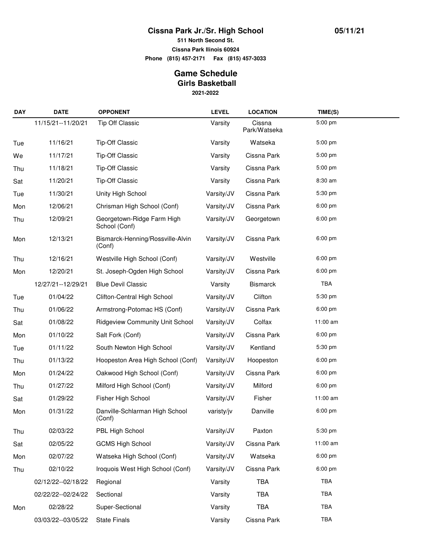## **Cissna Park Jr./Sr. High School**

**511 North Second St.**

**Cissna Park Ilinois 60924**

**Phone (815) 457-2171 Fax (815) 457-3033**

## **2021-2022 Game Schedule Girls Basketball**

| <b>DAY</b> | <b>DATE</b>          | <b>OPPONENT</b>                             | <b>LEVEL</b> | <b>LOCATION</b>        | TIME(S)           |
|------------|----------------------|---------------------------------------------|--------------|------------------------|-------------------|
|            | 11/15/21--11/20/21   | <b>Tip Off Classic</b>                      | Varsity      | Cissna<br>Park/Watseka | $5:00$ pm         |
| Tue        | 11/16/21             | <b>Tip-Off Classic</b>                      | Varsity      | Watseka                | $5:00$ pm         |
| We         | 11/17/21             | <b>Tip-Off Classic</b>                      | Varsity      | Cissna Park            | 5:00 pm           |
| Thu        | 11/18/21             | <b>Tip-Off Classic</b>                      | Varsity      | Cissna Park            | 5:00 pm           |
| Sat        | 11/20/21             | <b>Tip-Off Classic</b>                      | Varsity      | Cissna Park            | 8:30 am           |
| Tue        | 11/30/21             | Unity High School                           | Varsity/JV   | Cissna Park            | 5:30 pm           |
| Mon        | 12/06/21             | Chrisman High School (Conf)                 | Varsity/JV   | Cissna Park            | 6:00 pm           |
| Thu        | 12/09/21             | Georgetown-Ridge Farm High<br>School (Conf) | Varsity/JV   | Georgetown             | 6:00 pm           |
| Mon        | 12/13/21             | Bismarck-Henning/Rossville-Alvin<br>(Conf)  | Varsity/JV   | Cissna Park            | 6:00 pm           |
| Thu        | 12/16/21             | Westville High School (Conf)                | Varsity/JV   | Westville              | 6:00 pm           |
| Mon        | 12/20/21             | St. Joseph-Ogden High School                | Varsity/JV   | Cissna Park            | 6:00 pm           |
|            | 12/27/21--12/29/21   | <b>Blue Devil Classic</b>                   | Varsity      | <b>Bismarck</b>        | TBA               |
| Tue        | 01/04/22             | Clifton-Central High School                 | Varsity/JV   | Clifton                | 5:30 pm           |
| Thu        | 01/06/22             | Armstrong-Potomac HS (Conf)                 | Varsity/JV   | Cissna Park            | $6:00 \text{ pm}$ |
| Sat        | 01/08/22             | <b>Ridgeview Community Unit School</b>      | Varsity/JV   | Colfax                 | 11:00 am          |
| Mon        | 01/10/22             | Salt Fork (Conf)                            | Varsity/JV   | Cissna Park            | $6:00 \text{ pm}$ |
| Tue        | 01/11/22             | South Newton High School                    | Varsity/JV   | Kentland               | 5:30 pm           |
| Thu        | 01/13/22             | Hoopeston Area High School (Conf)           | Varsity/JV   | Hoopeston              | $6:00 \text{ pm}$ |
| Mon        | 01/24/22             | Oakwood High School (Conf)                  | Varsity/JV   | Cissna Park            | 6:00 pm           |
| Thu        | 01/27/22             | Milford High School (Conf)                  | Varsity/JV   | Milford                | $6:00 \text{ pm}$ |
| Sat        | 01/29/22             | Fisher High School                          | Varsity/JV   | Fisher                 | 11:00 am          |
| Mon        | 01/31/22             | Danville-Schlarman High School<br>(Conf)    | varisty/jv   | Danville               | 6:00 pm           |
| Thu        | 02/03/22             | PBL High School                             | Varsity/JV   | Paxton                 | 5:30 pm           |
| Sat        | 02/05/22             | <b>GCMS High School</b>                     | Varsity/JV   | Cissna Park            | 11:00 am          |
| Mon        | 02/07/22             | Watseka High School (Conf)                  | Varsity/JV   | Watseka                | 6:00 pm           |
| Thu        | 02/10/22             | Iroquois West High School (Conf)            | Varsity/JV   | Cissna Park            | 6:00 pm           |
|            | 02/12/22--02/18/22   | Regional                                    | Varsity      | <b>TBA</b>             | <b>TBA</b>        |
|            | 02/22/22--02/24/22   | Sectional                                   | Varsity      | <b>TBA</b>             | TBA               |
| Mon        | 02/28/22             | Super-Sectional                             | Varsity      | TBA                    | TBA               |
|            | 03/03/22 -- 03/05/22 | <b>State Finals</b>                         | Varsity      | Cissna Park            | TBA               |